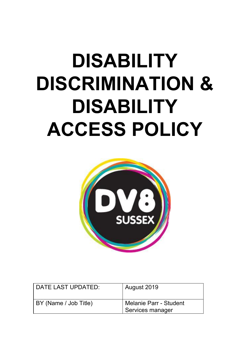# **DISABILITY DISCRIMINATION & DISABILITY ACCESS POLICY**



| l DATE LAST UPDATED:  | August 2019                                         |
|-----------------------|-----------------------------------------------------|
| BY (Name / Job Title) | <b>I Melanie Parr - Student</b><br>Services manager |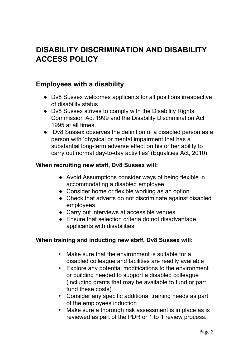## **DISABILITY DISCRIMINATION AND DISABILITY ACCESS POLICY**

#### **Employees with a disability**

- Dv8 Sussex welcomes applicants for all positions irrespective of disability status
- Dv8 Sussex strives to comply with the Disability Rights Commission Act 1999 and the Disability Discrimination Act 1995 at all times.
- Dv8 Sussex observes the definition of a disabled person as a person with 'physical or mental impairment that has a substantial long-term adverse effect on his or her ability to carry out normal day-to-day activities' (Equalities Act, 2010).

#### **When recruiting new staff, Dv8 Sussex will:**

- Avoid Assumptions consider ways of being flexible in accommodating a disabled employee
- Consider home or flexible working as an option
- Check that adverts do not discriminate against disabled employees
- Carry out interviews at accessible venues
- Ensure that selection criteria do not disadvantage applicants with disabilities

#### **When training and inducting new staff, Dv8 Sussex will:**

- Make sure that the environment is suitable for a disabled colleague and facilities are readily available
- Explore any potential modifications to the environment or building needed to support a disabled colleague (including grants that may be available to fund or part fund these costs)
- Consider any specific additional training needs as part of the employees induction
- Make sure a thorough risk assessment is in place as is reviewed as part of the PDR or 1 to 1 review process.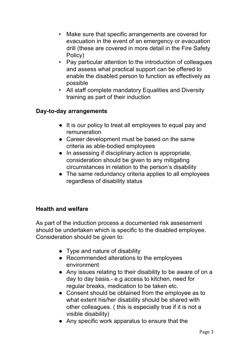- Make sure that specific arrangements are covered for evacuation in the event of an emergency or evacuation drill (these are covered in more detail in the Fire Safety Policy)
- Pay particular attention to the introduction of colleagues and assess what practical support can be offered to enable the disabled person to function as effectively as possible
- All staff complete mandatory Equalities and Diversity training as part of their induction

#### **Day-to-day arrangements**

- It is our policy to treat all employees to equal pay and remuneration
- Career development must be based on the same criteria as able-bodied employees
- In assessing if disciplinary action is appropriate, consideration should be given to any mitigating circumstances in relation to the person's disability
- The same redundancy criteria applies to all employees regardless of disability status

#### **Health and welfare**

As part of the induction process a documented risk assessment should be undertaken which is specific to the disabled employee. Consideration should be given to:

- Type and nature of disability
- Recommended alterations to the employees environment
- Any issues relating to their disability to be aware of on a day to day basis.- e.g access to kitchen, need for regular breaks, medication to be taken etc.
- Consent should be obtained from the employee as to what extent his/her disability should be shared with other colleagues. ( this is especially true if it is not a visible disability)
- Any specific work apparatus to ensure that the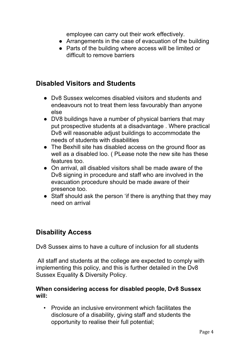employee can carry out their work effectively.

- Arrangements in the case of evacuation of the building
- Parts of the building where access will be limited or difficult to remove barriers

## **Disabled Visitors and Students**

- Dv8 Sussex welcomes disabled visitors and students and endeavours not to treat them less favourably than anyone else
- DV8 buildings have a number of physical barriers that may put prospective students at a disadvantage . Where practical Dv8 will reasonable adjust buildings to accommodate the needs of students with disabilities
- The Bexhill site has disabled access on the ground floor as well as a disabled loo. ( PLease note the new site has these features too.
- On arrival, all disabled visitors shall be made aware of the Dv8 signing in procedure and staff who are involved in the evacuation procedure should be made aware of their presence too.
- Staff should ask the person 'if there is anything that they may need on arrival

## **Disability Access**

Dv8 Sussex aims to have a culture of inclusion for all students

All staff and students at the college are expected to comply with implementing this policy, and this is further detailed in the Dv8 Sussex Equality & Diversity Policy.

#### **When considering access for disabled people, Dv8 Sussex will:**

• Provide an inclusive environment which facilitates the disclosure of a disability, giving staff and students the opportunity to realise their full potential;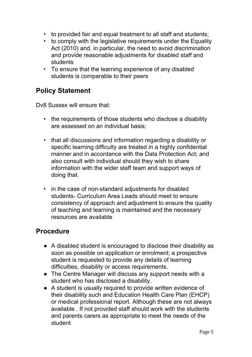- to provided fair and equal treatment to all staff and students;
- to comply with the legislative requirements under the Equality Act (2010) and, in particular, the need to avoid discrimination and provide reasonable adjustments for disabled staff and students
- To ensure that the learning experience of any disabled students is comparable to their peers

## **Policy Statement**

Dv8 Sussex will ensure that:

- the requirements of those students who disclose a disability are assessed on an individual basis;
- that all discussions and information regarding a disability or specific learning difficulty are treated in a highly confidential manner and in accordance with the Data Protection Act; and also consult with individual should they wish to share information with the wider staff team and support ways of doing that.
- in the case of non-standard adjustments for disabled students- Curriculum Area Leads should meet to ensure consistency of approach and adjustment to ensure the quality of teaching and learning is maintained and the necessary resources are available

#### **Procedure**

- A disabled student is encouraged to disclose their disability as soon as possible on application or enrolment; a prospective student is requested to provide any details of learning difficulties, disability or access requirements.
- The Centre Manager will discuss any support needs with a student who has disclosed a disability.
- A student is usually required to provide written evidence of their disability such and Education Health Care Plan (EHCP) or medical professional report. Although these are not always available . If not provided staff should work with the students and parents carers as appropriate to meet the needs of the student